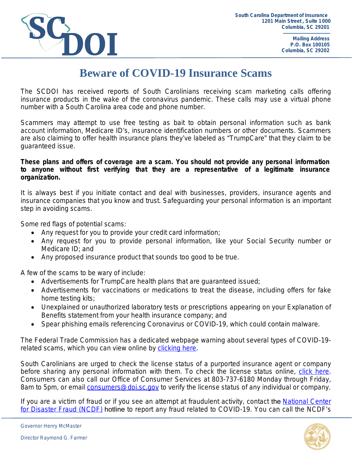

**Mailing Address P.O. Box 100105 Columbia, SC 29202**

## **Beware of COVID-19 Insurance Scams**

The SCDOI has received reports of South Carolinians receiving scam marketing calls offering insurance products in the wake of the coronavirus pandemic. These calls may use a virtual phone number with a South Carolina area code and phone number.

Scammers may attempt to use free testing as bait to obtain personal information such as bank account information, Medicare ID's, insurance identification numbers or other documents. Scammers are also claiming to offer health insurance plans they've labeled as "TrumpCare" that they claim to be guaranteed issue.

## **These plans and offers of coverage are a scam. You should not provide any personal information to anyone without first verifying that they are a representative of a legitimate insurance organization.**

It is always best if you initiate contact and deal with businesses, providers, insurance agents and insurance companies that you know and trust. Safeguarding your personal information is an important step in avoiding scams.

Some red flags of potential scams:

- Any request for you to provide your credit card information;
- Any request for you to provide personal information, like your Social Security number or Medicare ID; and
- Any proposed insurance product that sounds too good to be true.

A few of the scams to be wary of include:

- Advertisements for TrumpCare health plans that are guaranteed issued;
- Advertisements for vaccinations or medications to treat the disease, including offers for fake home testing kits;
- Unexplained or unauthorized laboratory tests or prescriptions appearing on your Explanation of Benefits statement from your health insurance company; and
- Spear phishing emails referencing Coronavirus or COVID-19, which could contain malware.

The Federal Trade Commission has a dedicated webpage warning about several types of COVID-19 related scams, which you can view online by [clicking here](https://www.consumer.ftc.gov/features/coronavirus-scams-what-ftc-doing).

South Carolinians are urged to check the license status of a purported insurance agent or company before sharing any personal information with them. To check the license status online, [click here.](https://sbs.naic.org/solar-external-lookup/) Consumers can also call our Office of Consumer Services at 803-737-6180 Monday through Friday, 8am to 5pm, or email *consumers@doi.sc.gov* to verify the license status of any individual or company.

If you are a victim of fraud or if you see an attempt at fraudulent activity, contact the [National Center](https://www.justice.gov/disaster-fraud) for Disaster Fraud (NCDF) hotline to report any fraud related to COVID-19. You can call the NCDF's

Governor Henry McMaster